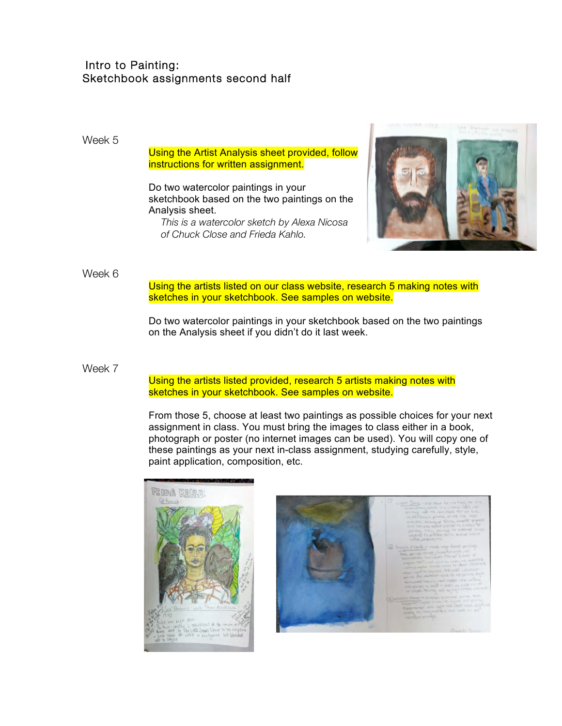# Intro to Painting: Sketchbook assignments second half

## Week 5

### Using the Artist Analysis sheet provided, follow instructions for written assignment.

Do two watercolor paintings in your sketchbook based on the two paintings on the Analysis sheet.

*This is a watercolor sketch by Alexa Nicosa of Chuck Close and Frieda Kahlo.*



### Week 6

Using the artists listed on our class website, research 5 making notes with sketches in your sketchbook. See samples on website.

Do two watercolor paintings in your sketchbook based on the two paintings on the Analysis sheet if you didn't do it last week.

#### Week 7

Using the artists listed provided, research 5 artists making notes with sketches in your sketchbook. See samples on website.

From those 5, choose at least two paintings as possible choices for your next assignment in class. You must bring the images to class either in a book, photograph or poster (no internet images can be used). You will copy one of these paintings as your next in-class assignment, studying carefully, style, paint application, composition, etc.